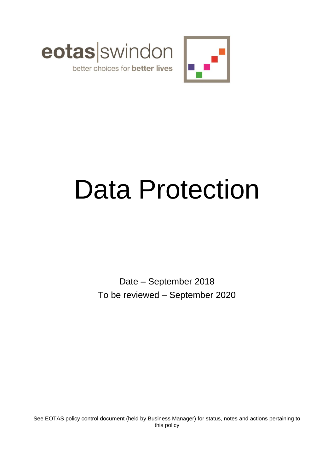



# Data Protection

Date – September 2018 To be reviewed – September 2020

See EOTAS policy control document (held by Business Manager) for status, notes and actions pertaining to this policy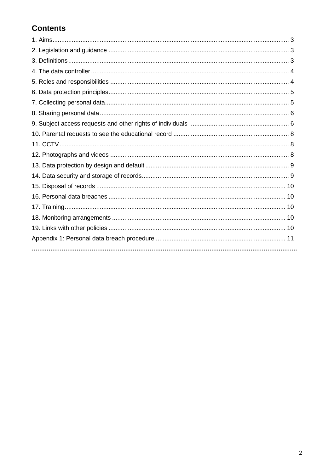# **Contents**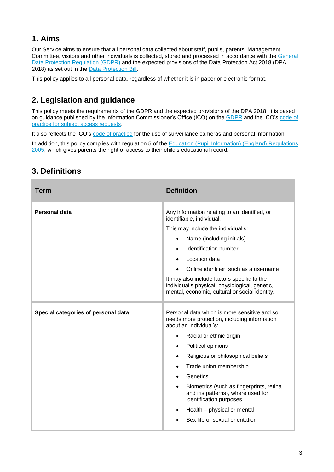# **1. Aims**

Our Service aims to ensure that all personal data collected about staff, pupils, parents, Management Committee, visitors and other individuals is collected, stored and processed in accordance with the [General](http://data.consilium.europa.eu/doc/document/ST-5419-2016-INIT/en/pdf)  [Data Protection Regulation \(GDPR\)](http://data.consilium.europa.eu/doc/document/ST-5419-2016-INIT/en/pdf) and the expected provisions of the Data Protection Act 2018 (DPA 2018) as set out in the [Data Protection Bill.](https://publications.parliament.uk/pa/bills/cbill/2017-2019/0153/18153.pdf)

This policy applies to all personal data, regardless of whether it is in paper or electronic format.

# **2. Legislation and guidance**

This policy meets the requirements of the GDPR and the expected provisions of the DPA 2018. It is based on guidance published by the Information Commissioner's Office (ICO) on the [GDPR](https://ico.org.uk/for-organisations/guide-to-the-general-data-protection-regulation-gdpr/) and the ICO's code of [practice for subject access requests.](https://ico.org.uk/media/for-organisations/documents/2014223/subject-access-code-of-practice.pdf)

It also reflects the ICO's [code of practice](https://ico.org.uk/media/for-organisations/documents/1542/cctv-code-of-practice.pdf) for the use of surveillance cameras and personal information.

In addition, this policy complies with regulation 5 of the Education (Pupil Information) (England) Regulations [2005,](http://www.legislation.gov.uk/uksi/2005/1437/regulation/5/made) which gives parents the right of access to their child's educational record.

| Term                                | <b>Definition</b>                                                                                                                                                                                                                                                                                                                                                                                                                                                                                                    |
|-------------------------------------|----------------------------------------------------------------------------------------------------------------------------------------------------------------------------------------------------------------------------------------------------------------------------------------------------------------------------------------------------------------------------------------------------------------------------------------------------------------------------------------------------------------------|
| Personal data                       | Any information relating to an identified, or<br>identifiable, individual.<br>This may include the individual's:<br>Name (including initials)<br>$\bullet$<br>Identification number<br>$\bullet$<br>Location data<br>$\bullet$<br>Online identifier, such as a username<br>It may also include factors specific to the<br>individual's physical, physiological, genetic,<br>mental, economic, cultural or social identity.                                                                                           |
| Special categories of personal data | Personal data which is more sensitive and so<br>needs more protection, including information<br>about an individual's:<br>Racial or ethnic origin<br>$\bullet$<br>Political opinions<br>$\bullet$<br>Religious or philosophical beliefs<br>$\bullet$<br>Trade union membership<br>٠<br>Genetics<br>$\bullet$<br>Biometrics (such as fingerprints, retina<br>$\bullet$<br>and iris patterns), where used for<br>identification purposes<br>Health - physical or mental<br>$\bullet$<br>Sex life or sexual orientation |

# **3. Definitions**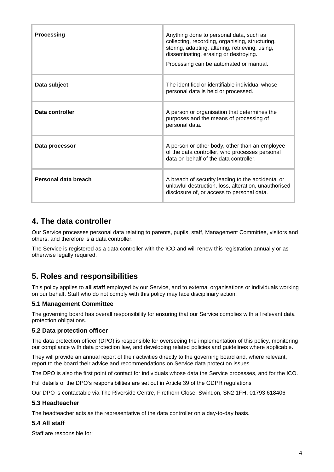| <b>Processing</b>    | Anything done to personal data, such as<br>collecting, recording, organising, structuring,<br>storing, adapting, altering, retrieving, using,<br>disseminating, erasing or destroying.<br>Processing can be automated or manual. |
|----------------------|----------------------------------------------------------------------------------------------------------------------------------------------------------------------------------------------------------------------------------|
| Data subject         | The identified or identifiable individual whose<br>personal data is held or processed.                                                                                                                                           |
| Data controller      | A person or organisation that determines the<br>purposes and the means of processing of<br>personal data.                                                                                                                        |
| Data processor       | A person or other body, other than an employee<br>of the data controller, who processes personal<br>data on behalf of the data controller.                                                                                       |
| Personal data breach | A breach of security leading to the accidental or<br>unlawful destruction, loss, alteration, unauthorised<br>disclosure of, or access to personal data.                                                                          |

# **4. The data controller**

Our Service processes personal data relating to parents, pupils, staff, Management Committee, visitors and others, and therefore is a data controller.

The Service is registered as a data controller with the ICO and will renew this registration annually or as otherwise legally required.

# **5. Roles and responsibilities**

This policy applies to **all staff** employed by our Service, and to external organisations or individuals working on our behalf. Staff who do not comply with this policy may face disciplinary action.

#### **5.1 Management Committee**

The governing board has overall responsibility for ensuring that our Service complies with all relevant data protection obligations.

#### **5.2 Data protection officer**

The data protection officer (DPO) is responsible for overseeing the implementation of this policy, monitoring our compliance with data protection law, and developing related policies and guidelines where applicable.

They will provide an annual report of their activities directly to the governing board and, where relevant, report to the board their advice and recommendations on Service data protection issues.

The DPO is also the first point of contact for individuals whose data the Service processes, and for the ICO.

Full details of the DPO's responsibilities are set out in Article 39 of the GDPR regulations

Our DPO is contactable via The Riverside Centre, Firethorn Close, Swindon, SN2 1FH, 01793 618406

#### **5.3 Headteacher**

The headteacher acts as the representative of the data controller on a day-to-day basis.

#### **5.4 All staff**

Staff are responsible for: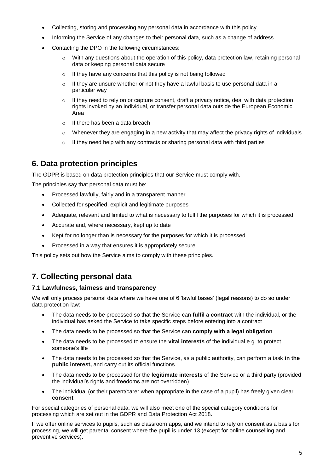- Collecting, storing and processing any personal data in accordance with this policy
- Informing the Service of any changes to their personal data, such as a change of address
- Contacting the DPO in the following circumstances:
	- With any questions about the operation of this policy, data protection law, retaining personal data or keeping personal data secure
	- o If they have any concerns that this policy is not being followed
	- $\circ$  If they are unsure whether or not they have a lawful basis to use personal data in a particular way
	- $\circ$  If they need to rely on or capture consent, draft a privacy notice, deal with data protection rights invoked by an individual, or transfer personal data outside the European Economic Area
	- o If there has been a data breach
	- $\circ$  Whenever they are engaging in a new activity that may affect the privacy rights of individuals
	- o If they need help with any contracts or sharing personal data with third parties

# **6. Data protection principles**

The GDPR is based on data protection principles that our Service must comply with.

The principles say that personal data must be:

- Processed lawfully, fairly and in a transparent manner
- Collected for specified, explicit and legitimate purposes
- Adequate, relevant and limited to what is necessary to fulfil the purposes for which it is processed
- Accurate and, where necessary, kept up to date
- Kept for no longer than is necessary for the purposes for which it is processed
- Processed in a way that ensures it is appropriately secure

This policy sets out how the Service aims to comply with these principles.

# **7. Collecting personal data**

#### **7.1 Lawfulness, fairness and transparency**

We will only process personal data where we have one of 6 'lawful bases' (legal reasons) to do so under data protection law:

- The data needs to be processed so that the Service can **fulfil a contract** with the individual, or the individual has asked the Service to take specific steps before entering into a contract
- The data needs to be processed so that the Service can **comply with a legal obligation**
- The data needs to be processed to ensure the **vital interests** of the individual e.g. to protect someone's life
- The data needs to be processed so that the Service, as a public authority, can perform a task **in the public interest,** and carry out its official functions
- The data needs to be processed for the **legitimate interests** of the Service or a third party (provided the individual's rights and freedoms are not overridden)
- The individual (or their parent/carer when appropriate in the case of a pupil) has freely given clear **consent**

For special categories of personal data, we will also meet one of the special category conditions for processing which are set out in the GDPR and Data Protection Act 2018.

If we offer online services to pupils, such as classroom apps, and we intend to rely on consent as a basis for processing, we will get parental consent where the pupil is under 13 (except for online counselling and preventive services).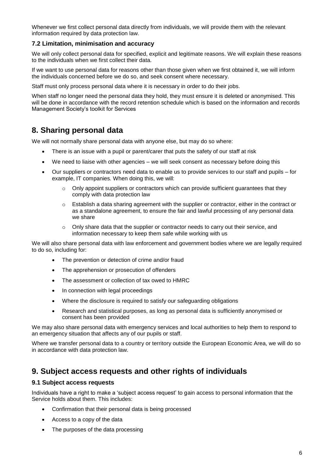Whenever we first collect personal data directly from individuals, we will provide them with the relevant information required by data protection law.

#### **7.2 Limitation, minimisation and accuracy**

We will only collect personal data for specified, explicit and legitimate reasons. We will explain these reasons to the individuals when we first collect their data.

If we want to use personal data for reasons other than those given when we first obtained it, we will inform the individuals concerned before we do so, and seek consent where necessary.

Staff must only process personal data where it is necessary in order to do their jobs.

When staff no longer need the personal data they hold, they must ensure it is deleted or anonymised. This will be done in accordance with the record retention schedule which is based on the information and records Management Society's toolkit for Services

## **8. Sharing personal data**

We will not normally share personal data with anyone else, but may do so where:

- There is an issue with a pupil or parent/carer that puts the safety of our staff at risk
- We need to liaise with other agencies we will seek consent as necessary before doing this
- Our suppliers or contractors need data to enable us to provide services to our staff and pupils for example, IT companies. When doing this, we will:
	- $\circ$  Only appoint suppliers or contractors which can provide sufficient quarantees that they comply with data protection law
	- $\circ$  Establish a data sharing agreement with the supplier or contractor, either in the contract or as a standalone agreement, to ensure the fair and lawful processing of any personal data we share
	- $\circ$  Only share data that the supplier or contractor needs to carry out their service, and information necessary to keep them safe while working with us

We will also share personal data with law enforcement and government bodies where we are legally required to do so, including for:

- The prevention or detection of crime and/or fraud
- The apprehension or prosecution of offenders
- The assessment or collection of tax owed to HMRC
- In connection with legal proceedings
- Where the disclosure is required to satisfy our safeguarding obligations
- Research and statistical purposes, as long as personal data is sufficiently anonymised or consent has been provided

We may also share personal data with emergency services and local authorities to help them to respond to an emergency situation that affects any of our pupils or staff.

Where we transfer personal data to a country or territory outside the European Economic Area, we will do so in accordance with data protection law.

### **9. Subject access requests and other rights of individuals**

#### **9.1 Subject access requests**

Individuals have a right to make a 'subject access request' to gain access to personal information that the Service holds about them. This includes:

- Confirmation that their personal data is being processed
- Access to a copy of the data
- The purposes of the data processing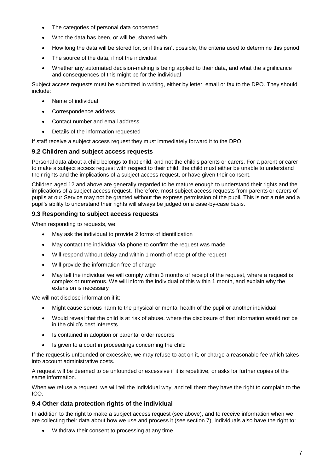- The categories of personal data concerned
- Who the data has been, or will be, shared with
- How long the data will be stored for, or if this isn't possible, the criteria used to determine this period
- The source of the data, if not the individual
- Whether any automated decision-making is being applied to their data, and what the significance and consequences of this might be for the individual

Subject access requests must be submitted in writing, either by letter, email or fax to the DPO. They should include:

- Name of individual
- Correspondence address
- Contact number and email address
- Details of the information requested

If staff receive a subject access request they must immediately forward it to the DPO.

#### **9.2 Children and subject access requests**

Personal data about a child belongs to that child, and not the child's parents or carers. For a parent or carer to make a subject access request with respect to their child, the child must either be unable to understand their rights and the implications of a subject access request, or have given their consent.

Children aged 12 and above are generally regarded to be mature enough to understand their rights and the implications of a subject access request. Therefore, most subject access requests from parents or carers of pupils at our Service may not be granted without the express permission of the pupil. This is not a rule and a pupil's ability to understand their rights will always be judged on a case-by-case basis.

#### **9.3 Responding to subject access requests**

When responding to requests, we:

- May ask the individual to provide 2 forms of identification
- May contact the individual via phone to confirm the request was made
- Will respond without delay and within 1 month of receipt of the request
- Will provide the information free of charge
- May tell the individual we will comply within 3 months of receipt of the request, where a request is complex or numerous. We will inform the individual of this within 1 month, and explain why the extension is necessary

We will not disclose information if it:

- Might cause serious harm to the physical or mental health of the pupil or another individual
- Would reveal that the child is at risk of abuse, where the disclosure of that information would not be in the child's best interests
- Is contained in adoption or parental order records
- Is given to a court in proceedings concerning the child

If the request is unfounded or excessive, we may refuse to act on it, or charge a reasonable fee which takes into account administrative costs.

A request will be deemed to be unfounded or excessive if it is repetitive, or asks for further copies of the same information.

When we refuse a request, we will tell the individual why, and tell them they have the right to complain to the ICO.

#### **9.4 Other data protection rights of the individual**

In addition to the right to make a subject access request (see above), and to receive information when we are collecting their data about how we use and process it (see section 7), individuals also have the right to:

Withdraw their consent to processing at any time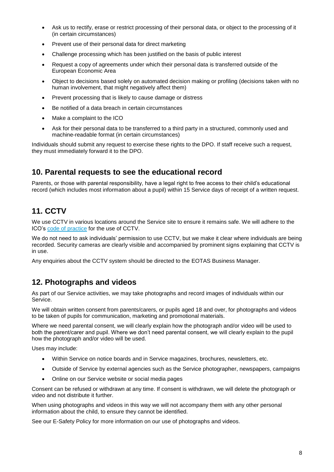- Ask us to rectify, erase or restrict processing of their personal data, or object to the processing of it (in certain circumstances)
- Prevent use of their personal data for direct marketing
- Challenge processing which has been justified on the basis of public interest
- Request a copy of agreements under which their personal data is transferred outside of the European Economic Area
- Object to decisions based solely on automated decision making or profiling (decisions taken with no human involvement, that might negatively affect them)
- Prevent processing that is likely to cause damage or distress
- Be notified of a data breach in certain circumstances
- Make a complaint to the ICO
- Ask for their personal data to be transferred to a third party in a structured, commonly used and machine-readable format (in certain circumstances)

Individuals should submit any request to exercise these rights to the DPO. If staff receive such a request, they must immediately forward it to the DPO.

## **10. Parental requests to see the educational record**

Parents, or those with parental responsibility, have a legal right to free access to their child's educational record (which includes most information about a pupil) within 15 Service days of receipt of a written request.

# **11. CCTV**

We use CCTV in various locations around the Service site to ensure it remains safe. We will adhere to the ICO's [code of practice](https://ico.org.uk/media/for-organisations/documents/1542/cctv-code-of-practice.pdf) for the use of CCTV.

We do not need to ask individuals' permission to use CCTV, but we make it clear where individuals are being recorded. Security cameras are clearly visible and accompanied by prominent signs explaining that CCTV is in use.

Any enquiries about the CCTV system should be directed to the EOTAS Business Manager.

# **12. Photographs and videos**

As part of our Service activities, we may take photographs and record images of individuals within our Service.

We will obtain written consent from parents/carers, or pupils aged 18 and over, for photographs and videos to be taken of pupils for communication, marketing and promotional materials.

Where we need parental consent, we will clearly explain how the photograph and/or video will be used to both the parent/carer and pupil. Where we don't need parental consent, we will clearly explain to the pupil how the photograph and/or video will be used.

Uses may include:

- Within Service on notice boards and in Service magazines, brochures, newsletters, etc.
- Outside of Service by external agencies such as the Service photographer, newspapers, campaigns
- Online on our Service website or social media pages

Consent can be refused or withdrawn at any time. If consent is withdrawn, we will delete the photograph or video and not distribute it further.

When using photographs and videos in this way we will not accompany them with any other personal information about the child, to ensure they cannot be identified.

See our E-Safety Policy for more information on our use of photographs and videos.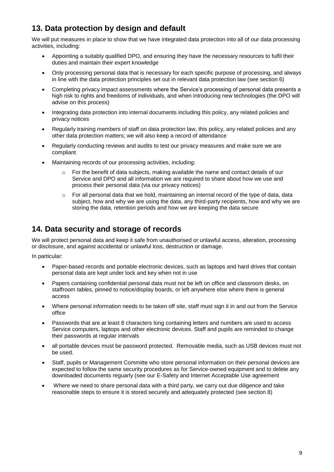# **13. Data protection by design and default**

We will put measures in place to show that we have integrated data protection into all of our data processing activities, including:

- Appointing a suitably qualified DPO, and ensuring they have the necessary resources to fulfil their duties and maintain their expert knowledge
- Only processing personal data that is necessary for each specific purpose of processing, and always in line with the data protection principles set out in relevant data protection law (see section 6)
- Completing privacy impact assessments where the Service's processing of personal data presents a high risk to rights and freedoms of individuals, and when introducing new technologies (the DPO will advise on this process)
- Integrating data protection into internal documents including this policy, any related policies and privacy notices
- Regularly training members of staff on data protection law, this policy, any related policies and any other data protection matters; we will also keep a record of attendance
- Regularly conducting reviews and audits to test our privacy measures and make sure we are compliant
- Maintaining records of our processing activities, including:
	- $\circ$  For the benefit of data subjects, making available the name and contact details of our Service and DPO and all information we are required to share about how we use and process their personal data (via our privacy notices)
	- $\circ$  For all personal data that we hold, maintaining an internal record of the type of data, data subject, how and why we are using the data, any third-party recipients, how and why we are storing the data, retention periods and how we are keeping the data secure

# **14. Data security and storage of records**

We will protect personal data and keep it safe from unauthorised or unlawful access, alteration, processing or disclosure, and against accidental or unlawful loss, destruction or damage.

In particular:

- Paper-based records and portable electronic devices, such as laptops and hard drives that contain personal data are kept under lock and key when not in use
- Papers containing confidential personal data must not be left on office and classroom desks, on staffroom tables, pinned to notice/display boards, or left anywhere else where there is general access
- Where personal information needs to be taken off site, staff must sign it in and out from the Service office
- Passwords that are at least 8 characters long containing letters and numbers are used to access Service computers, laptops and other electronic devices. Staff and pupils are reminded to change their passwords at regular intervals
- all portable devices must be password protected. Removable media, such as USB devices must not be used.
- Staff, pupils or Management Committe who store personal information on their personal devices are expected to follow the same security procedures as for Service-owned equipment and to delete any downloaded documents reguarly (see our E-Safety and Internet Acceptable Use agreement
- Where we need to share personal data with a third party, we carry out due diligence and take reasonable steps to ensure it is stored securely and adequately protected (see section 8)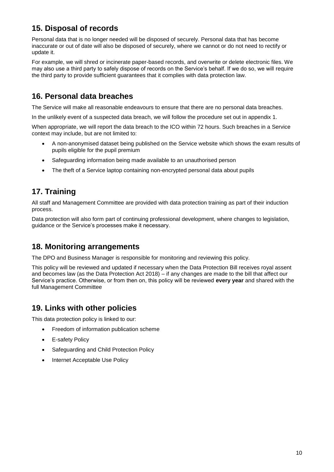# **15. Disposal of records**

Personal data that is no longer needed will be disposed of securely. Personal data that has become inaccurate or out of date will also be disposed of securely, where we cannot or do not need to rectify or update it.

For example, we will shred or incinerate paper-based records, and overwrite or delete electronic files. We may also use a third party to safely dispose of records on the Service's behalf. If we do so, we will require the third party to provide sufficient guarantees that it complies with data protection law.

# **16. Personal data breaches**

The Service will make all reasonable endeavours to ensure that there are no personal data breaches.

In the unlikely event of a suspected data breach, we will follow the procedure set out in appendix 1.

When appropriate, we will report the data breach to the ICO within 72 hours. Such breaches in a Service context may include, but are not limited to:

- A non-anonymised dataset being published on the Service website which shows the exam results of pupils eligible for the pupil premium
- Safeguarding information being made available to an unauthorised person
- The theft of a Service laptop containing non-encrypted personal data about pupils

# **17. Training**

All staff and Management Committee are provided with data protection training as part of their induction process.

Data protection will also form part of continuing professional development, where changes to legislation, guidance or the Service's processes make it necessary.

# **18. Monitoring arrangements**

The DPO and Business Manager is responsible for monitoring and reviewing this policy.

This policy will be reviewed and updated if necessary when the Data Protection Bill receives royal assent and becomes law (as the Data Protection Act 2018) – if any changes are made to the bill that affect our Service's practice. Otherwise, or from then on, this policy will be reviewed **every year** and shared with the full Management Committee

# **19. Links with other policies**

This data protection policy is linked to our:

- Freedom of information publication scheme
- E-safety Policy
- Safeguarding and Child Protection Policy
- Internet Acceptable Use Policy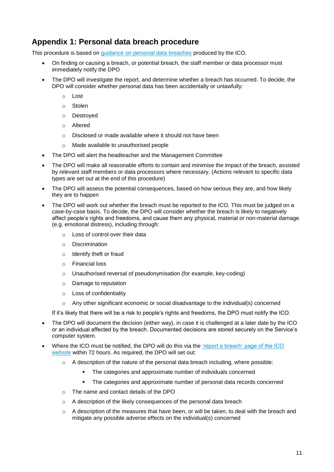# **Appendix 1: Personal data breach procedure**

This procedure is based on [guidance on personal data breaches](https://ico.org.uk/for-organisations/guide-to-the-general-data-protection-regulation-gdpr/personal-data-breaches/) produced by the ICO.

- On finding or causing a breach, or potential breach, the staff member or data processor must immediately notify the DPO
- The DPO will investigate the report, and determine whether a breach has occurred. To decide, the DPO will consider whether personal data has been accidentally or unlawfully:
	- o Lost
	- o Stolen
	- o Destroyed
	- o Altered
	- o Disclosed or made available where it should not have been
	- o Made available to unauthorised people
- The DPO will alert the headteacher and the Management Committee
- The DPO will make all reasonable efforts to contain and minimise the impact of the breach, assisted by relevant staff members or data processors where necessary. (Actions relevant to specific data types are set out at the end of this procedure)
- The DPO will assess the potential consequences, based on how serious they are, and how likely they are to happen
- The DPO will work out whether the breach must be reported to the ICO. This must be judged on a case-by-case basis. To decide, the DPO will consider whether the breach is likely to negatively affect people's rights and freedoms, and cause them any physical, material or non-material damage (e.g. emotional distress), including through:
	- o Loss of control over their data
	- o Discrimination
	- o Identify theft or fraud
	- o Financial loss
	- o Unauthorised reversal of pseudonymisation (for example, key-coding)
	- o Damage to reputation
	- o Loss of confidentiality
	- o Any other significant economic or social disadvantage to the individual(s) concerned

If it's likely that there will be a risk to people's rights and freedoms, the DPO must notify the ICO.

- The DPO will document the decision (either way), in case it is challenged at a later date by the ICO or an individual affected by the breach. Documented decisions are stored securely on the Service's computer system.
- Where the ICO must be notified, the DPO will do this via the ['report a breach' page of the ICO](https://ico.org.uk/for-organisations/report-a-breach/)  [website](https://ico.org.uk/for-organisations/report-a-breach/) within 72 hours. As required, the DPO will set out:
	- o A description of the nature of the personal data breach including, where possible:
		- The categories and approximate number of individuals concerned
		- The categories and approximate number of personal data records concerned
	- o The name and contact details of the DPO
	- o A description of the likely consequences of the personal data breach
	- $\circ$  A description of the measures that have been, or will be taken, to deal with the breach and mitigate any possible adverse effects on the individual(s) concerned